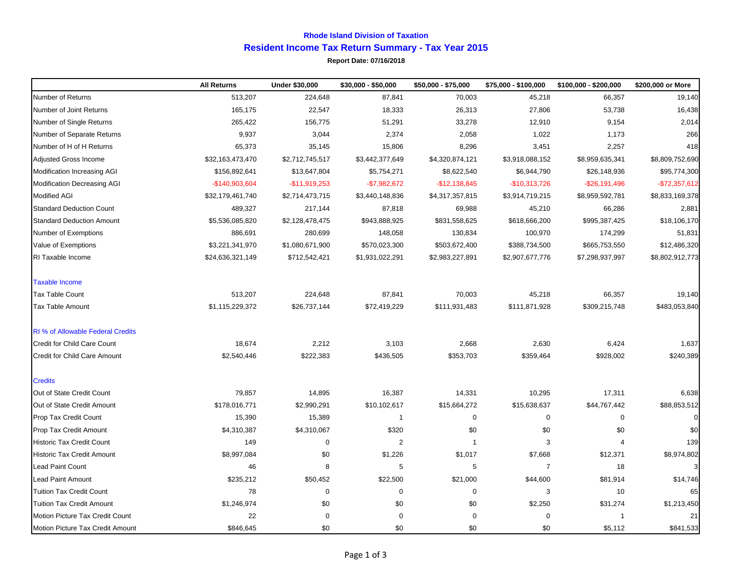## **Rhode Island Division of Taxation Resident Income Tax Return Summary - Tax Year 2015**

## **Report Date: 07/16/2018**

|                                          | <b>All Returns</b> | <b>Under \$30,000</b> | $$30,000 - $50,000$ | \$50,000 - \$75,000 | \$75,000 - \$100,000 | $$100,000 - $200,000$ | \$200,000 or More |
|------------------------------------------|--------------------|-----------------------|---------------------|---------------------|----------------------|-----------------------|-------------------|
| Number of Returns                        | 513,207            | 224,648               | 87,841              | 70,003              | 45,218               | 66,357                | 19,140            |
| Number of Joint Returns                  | 165,175            | 22,547                | 18,333              | 26,313              | 27,806               | 53,738                | 16,438            |
| Number of Single Returns                 | 265,422            | 156,775               | 51,291              | 33,278              | 12,910               | 9,154                 | 2,014             |
| Number of Separate Returns               | 9,937              | 3,044                 | 2,374               | 2,058               | 1,022                | 1,173                 | 266               |
| Number of H of H Returns                 | 65,373             | 35,145                | 15,806              | 8,296               | 3,451                | 2,257                 | 418               |
| <b>Adjusted Gross Income</b>             | \$32,163,473,470   | \$2,712,745,517       | \$3,442,377,649     | \$4,320,874,121     | \$3,918,088,152      | \$8,959,635,341       | \$8,809,752,690   |
| Modification Increasing AGI              | \$156,892,641      | \$13,647,804          | \$5,754,271         | \$8,622,540         | \$6,944,790          | \$26,148,936          | \$95,774,300      |
| <b>Modification Decreasing AGI</b>       | $-$140,903,604$    | $-$11,919,253$        | $-$7,982,672$       | $-$12,138,845$      | $-$10,313,726$       | $-$26,191,496$        | $-$72,357,612$    |
| <b>Modified AGI</b>                      | \$32,179,461,740   | \$2,714,473,715       | \$3,440,148,836     | \$4,317,357,815     | \$3,914,719,215      | \$8,959,592,781       | \$8,833,169,378   |
| <b>Standard Deduction Count</b>          | 489,327            | 217,144               | 87,818              | 69,988              | 45,210               | 66,286                | 2,881             |
| <b>Standard Deduction Amount</b>         | \$5,536,085,820    | \$2,128,478,475       | \$943,888,925       | \$831,558,625       | \$618,666,200        | \$995,387,425         | \$18,106,170      |
| Number of Exemptions                     | 886,691            | 280,699               | 148,058             | 130,834             | 100,970              | 174,299               | 51,831            |
| Value of Exemptions                      | \$3,221,341,970    | \$1,080,671,900       | \$570,023,300       | \$503,672,400       | \$388,734,500        | \$665,753,550         | \$12,486,320      |
| RI Taxable Income                        | \$24,636,321,149   | \$712,542,421         | \$1,931,022,291     | \$2,983,227,891     | \$2,907,677,776      | \$7,298,937,997       | \$8,802,912,773   |
| <b>Taxable Income</b>                    |                    |                       |                     |                     |                      |                       |                   |
| Tax Table Count                          | 513,207            | 224,648               | 87,841              | 70,003              | 45,218               | 66,357                | 19,140            |
| <b>Tax Table Amount</b>                  | \$1,115,229,372    | \$26,737,144          | \$72,419,229        | \$111,931,483       | \$111,871,928        | \$309,215,748         | \$483,053,840     |
| <b>RI % of Allowable Federal Credits</b> |                    |                       |                     |                     |                      |                       |                   |
| <b>Credit for Child Care Count</b>       | 18,674             | 2,212                 | 3,103               | 2,668               | 2,630                | 6,424                 | 1,637             |
| <b>Credit for Child Care Amount</b>      | \$2,540,446        | \$222,383             | \$436,505           | \$353,703           | \$359,464            | \$928,002             | \$240,389         |
| <b>Credits</b>                           |                    |                       |                     |                     |                      |                       |                   |
| Out of State Credit Count                | 79,857             | 14,895                | 16,387              | 14,331              | 10,295               | 17,311                | 6,638             |
| Out of State Credit Amount               | \$178,016,771      | \$2,990,291           | \$10,102,617        | \$15,664,272        | \$15,638,637         | \$44,767,442          | \$88,853,512      |
| Prop Tax Credit Count                    | 15,390             | 15,389                | $\mathbf{1}$        | $\mathbf 0$         | 0                    | 0                     | $\mathbf 0$       |
| Prop Tax Credit Amount                   | \$4,310,387        | \$4,310,067           | \$320               | \$0                 | \$0                  | \$0                   | \$0               |
| <b>Historic Tax Credit Count</b>         | 149                | $\mathbf 0$           | $\boldsymbol{2}$    | -1                  | 3                    | 4                     | 139               |
| <b>Historic Tax Credit Amount</b>        | \$8,997,084        | \$0                   | \$1,226             | \$1,017             | \$7,668              | \$12,371              | \$8,974,802       |
| Lead Paint Count                         | 46                 | 8                     | 5                   | 5                   | $\overline{7}$       | 18                    | 3                 |
| Lead Paint Amount                        | \$235,212          | \$50,452              | \$22,500            | \$21,000            | \$44,600             | \$81,914              | \$14,746          |
| <b>Tuition Tax Credit Count</b>          | 78                 | $\mathbf 0$           | 0                   | $\mathbf 0$         | 3                    | 10                    | 65                |
| <b>Tuition Tax Credit Amount</b>         | \$1,246,974        | \$0                   | \$0                 | \$0                 | \$2,250              | \$31,274              | \$1,213,450       |
| Motion Picture Tax Credit Count          | 22                 | $\Omega$              | $\mathbf 0$         | 0                   | 0                    | $\overline{1}$        | 21                |
| Motion Picture Tax Credit Amount         | \$846,645          | \$0                   | \$0                 | \$0                 | \$0                  | \$5,112               | \$841,533         |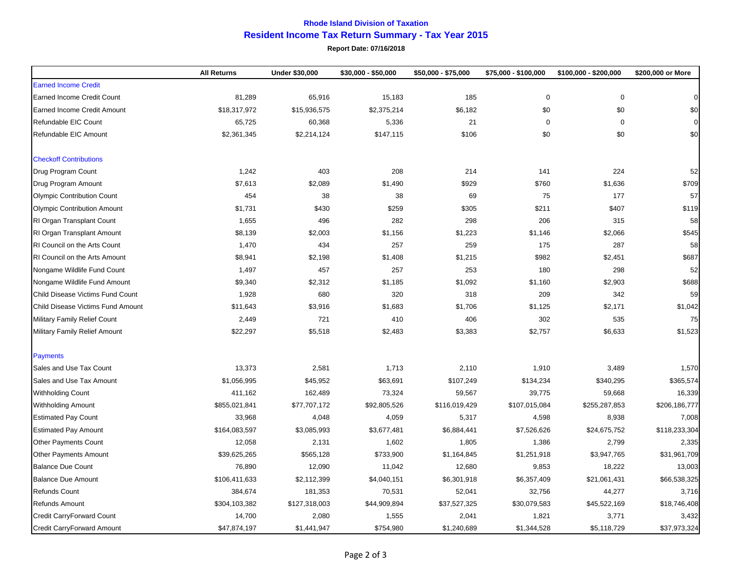## **Rhode Island Division of Taxation Resident Income Tax Return Summary - Tax Year 2015**

**Report Date: 07/16/2018**

|                                      | <b>All Returns</b> | Under \$30,000 | \$30,000 - \$50,000 | \$50,000 - \$75,000 | \$75,000 - \$100,000 | \$100,000 - \$200,000 | \$200,000 or More |
|--------------------------------------|--------------------|----------------|---------------------|---------------------|----------------------|-----------------------|-------------------|
| <b>Earned Income Credit</b>          |                    |                |                     |                     |                      |                       |                   |
| <b>Earned Income Credit Count</b>    | 81,289             | 65,916         | 15,183              | 185                 | $\mathbf 0$          | $\mathbf 0$           | $\Omega$          |
| <b>Earned Income Credit Amount</b>   | \$18,317,972       | \$15,936,575   | \$2,375,214         | \$6,182             | \$0                  | \$0                   | \$0               |
| Refundable EIC Count                 | 65,725             | 60,368         | 5,336               | 21                  | $\mathbf 0$          | $\mathbf 0$           | $\mathbf 0$       |
| Refundable EIC Amount                | \$2,361,345        | \$2,214,124    | \$147,115           | \$106               | \$0                  | \$0                   | \$0               |
| <b>Checkoff Contributions</b>        |                    |                |                     |                     |                      |                       |                   |
| Drug Program Count                   | 1,242              | 403            | 208                 | 214                 | 141                  | 224                   | 52                |
| Drug Program Amount                  | \$7,613            | \$2,089        | \$1,490             | \$929               | \$760                | \$1,636               | \$709             |
| <b>Olympic Contribution Count</b>    | 454                | 38             | 38                  | 69                  | 75                   | 177                   | 57                |
| <b>Olympic Contribution Amount</b>   | \$1,731            | \$430          | \$259               | \$305               | \$211                | \$407                 | \$119             |
| <b>RI Organ Transplant Count</b>     | 1,655              | 496            | 282                 | 298                 | 206                  | 315                   | 58                |
| RI Organ Transplant Amount           | \$8,139            | \$2,003        | \$1,156             | \$1,223             | \$1,146              | \$2,066               | \$545             |
| RI Council on the Arts Count         | 1,470              | 434            | 257                 | 259                 | 175                  | 287                   | 58                |
| <b>RI Council on the Arts Amount</b> | \$8,941            | \$2,198        | \$1,408             | \$1,215             | \$982                | \$2,451               | \$687             |
| Nongame Wildlife Fund Count          | 1,497              | 457            | 257                 | 253                 | 180                  | 298                   | 52                |
| Nongame Wildlife Fund Amount         | \$9,340            | \$2,312        | \$1,185             | \$1,092             | \$1,160              | \$2,903               | \$688             |
| Child Disease Victims Fund Count     | 1,928              | 680            | 320                 | 318                 | 209                  | 342                   | 59                |
| Child Disease Victims Fund Amount    | \$11,643           | \$3,916        | \$1,683             | \$1,706             | \$1,125              | \$2,171               | \$1,042           |
| Military Family Relief Count         | 2,449              | 721            | 410                 | 406                 | 302                  | 535                   | 75                |
| Military Family Relief Amount        | \$22,297           | \$5,518        | \$2,483             | \$3,383             | \$2,757              | \$6,633               | \$1,523           |
| <b>Payments</b>                      |                    |                |                     |                     |                      |                       |                   |
| Sales and Use Tax Count              | 13,373             | 2,581          | 1,713               | 2,110               | 1,910                | 3,489                 | 1,570             |
| Sales and Use Tax Amount             | \$1,056,995        | \$45,952       | \$63,691            | \$107,249           | \$134,234            | \$340,295             | \$365,574         |
| <b>Withholding Count</b>             | 411,162            | 162,489        | 73,324              | 59,567              | 39,775               | 59,668                | 16,339            |
| <b>Withholding Amount</b>            | \$855,021,841      | \$77,707,172   | \$92,805,526        | \$116,019,429       | \$107,015,084        | \$255,287,853         | \$206,186,777     |
| <b>Estimated Pay Count</b>           | 33,968             | 4,048          | 4,059               | 5,317               | 4,598                | 8,938                 | 7,008             |
| <b>Estimated Pay Amount</b>          | \$164,083,597      | \$3,085,993    | \$3,677,481         | \$6,884,441         | \$7,526,626          | \$24,675,752          | \$118,233,304     |
| <b>Other Payments Count</b>          | 12,058             | 2,131          | 1,602               | 1,805               | 1,386                | 2,799                 | 2,335             |
| <b>Other Payments Amount</b>         | \$39,625,265       | \$565,128      | \$733,900           | \$1,164,845         | \$1,251,918          | \$3,947,765           | \$31,961,709      |
| <b>Balance Due Count</b>             | 76,890             | 12,090         | 11,042              | 12,680              | 9,853                | 18,222                | 13,003            |
| <b>Balance Due Amount</b>            | \$106,411,633      | \$2,112,399    | \$4,040,151         | \$6,301,918         | \$6,357,409          | \$21,061,431          | \$66,538,325      |
| <b>Refunds Count</b>                 | 384,674            | 181,353        | 70,531              | 52,041              | 32,756               | 44,277                | 3,716             |
| <b>Refunds Amount</b>                | \$304,103,382      | \$127,318,003  | \$44,909,894        | \$37,527,325        | \$30,079,583         | \$45,522,169          | \$18,746,408      |
| Credit CarryForward Count            | 14,700             | 2,080          | 1,555               | 2,041               | 1,821                | 3,771                 | 3,432             |
| Credit CarryForward Amount           | \$47,874,197       | \$1,441,947    | \$754,980           | \$1,240,689         | \$1,344,528          | \$5,118,729           | \$37,973,324      |